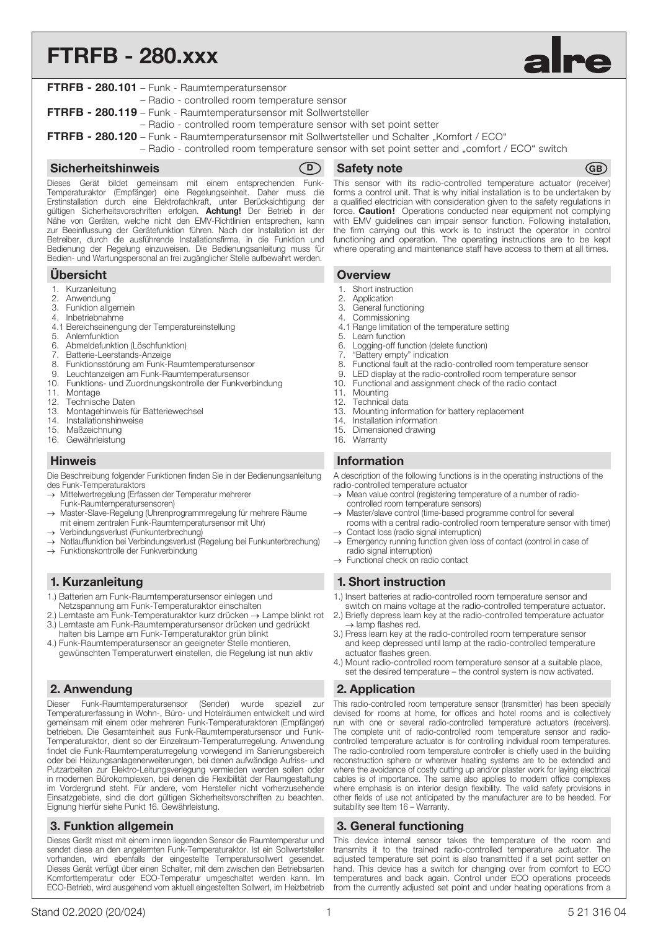# FTRFB - 280.xxx



| <b>FTRFB - 280.101</b> - Funk - Raumtemperatursensor                                                                                                                                            |  |
|-------------------------------------------------------------------------------------------------------------------------------------------------------------------------------------------------|--|
| - Radio - controlled room temperature sensor                                                                                                                                                    |  |
| FTRFB - 280.119 - Funk - Raumtemperatursensor mit Sollwertsteller                                                                                                                               |  |
| - Radio - controlled room temperature sensor with set point setter                                                                                                                              |  |
| FTRFB - 280.120 - Funk - Raumtemperatursensor mit Sollwertsteller und Schalter "Komfort / ECO"<br>- Radio - controlled room temperature sensor with set point setter and "comfort / ECO" switch |  |
|                                                                                                                                                                                                 |  |
|                                                                                                                                                                                                 |  |

#### Sicherheitshinweis (D)

Dieses Gerät bildet gemeinsam mit einem entsprechenden Funk-Temperaturaktor (Empfänger) eine Regelungseinheit. Daher muss die Erstinstallation durch eine Elektrofachkraft, unter Berücksichtigung der gültigen Sicherheitsvorschriften erfolgen. Achtung! Der Betrieb in der Nähe von Geräten, welche nicht den EMV-Richtlinien entsprechen, kann zur Beeinflussung der Gerätefunktion führen. Nach der Installation ist der Betreiber, durch die ausführende Installationsfirma, in die Funktion und Bedienung der Regelung einzuweisen. Die Bedienungsanleitung muss für Bedien- und Wartungspersonal an frei zugänglicher Stelle aufbewahrt werden.

# Übersicht

- 1. Kurzanleitung<br>2. Anwendung
- Anwendung
- 3. Funktion allgemein
- 4. Inbetriebnahme
- 04.1 Bereichseinengung der Temperatureinstellung
- 5. Anlernfunktion
- 06.1 Abmeldefunktion (Löschfunktion)
- 7. Batterie-Leerstands-Anzeige
- 8. Funktionsstörung am Funk-Raumtemperatursensor
- 9. Leuchtanzeigen am Funk-Raumtemperatursensor<br>10. Funktions- und Zuordnungskontrolle der Funkver Funktions- und Zuordnungskontrolle der Funkverbindung
- 
- 11. Montage<br>12. Technisch
- Technische Daten
- 13. Montagehinweis für Batteriewechsel
- 14. Installationshinweise
- 15. Maßzeichnung<br>16. Gewährleistung Gewährleistung
- **Hinweis Information**
- Die Beschreibung folgender Funktionen finden Sie in der Bedienungsanleitung des Funk-Temperaturaktors
- Mittelwertregelung (Erfassen der Temperatur mehrerer
- Funk-Raumtemperatursensoren)
- Master-Slave-Regelung (Uhrenprogrammregelung für mehrere Räume mit einem zentralen Funk-Raumtemperatursensor mit Uhr)
- Verbindungsverlust (Funkunterbrechung)
- Notlauffunktion bei Verbindungsverlust (Regelung bei Funkunterbrechung)
- Funktionskontrolle der Funkverbindung

#### 1. Kurzanleitung

- 1.) Batterien am Funk-Raumtemperatursensor einlegen und Netzspannung am Funk-Temperaturaktor einschalten
- 2.) Lerntaste am Funk-Temperaturaktor kurz drücken → Lampe blinkt rot
- 3.) Lerntaste am Funk-Raumtemperatursensor drücken und gedrückt halten bis Lampe am Funk-Temperaturaktor grün blinkt
- 4.) Funk-Raumtemperatursensor an geeigneter Stelle montieren, gewünschten Temperaturwert einstellen, die Regelung ist nun aktiv

# 2. Anwendung

Dieser Funk-Raumtemperatursensor (Sender) wurde speziell zur Temperaturerfassung in Wohn-, Büro- und Hotelräumen entwickelt und wird gemeinsam mit einem oder mehreren Funk-Temperaturaktoren (Empfänger) betrieben. Die Gesamteinheit aus Funk-Raumtemperatursensor und Funk-Temperaturaktor, dient so der Einzelraum-Temperaturregelung. Anwendung findet die Funk-Raumtemperaturregelung vorwiegend im Sanierungsbereich oder bei Heizungsanlagenerweiterungen, bei denen aufwändige Aufriss- und Putzarbeiten zur Elektro-Leitungsverlegung vermieden werden sollen oder in modernen Bürokomplexen, bei denen die Flexibilität der Raumgestaltung im Vordergrund steht. Für andere, vom Hersteller nicht vorherzusehende Einsatzgebiete, sind die dort gültigen Sicherheitsvorschriften zu beachten. Eignung hierfür siehe Punkt 16. Gewährleistung.

# 3. Funktion allgemein

Dieses Gerät misst mit einem innen liegenden Sensor die Raumtemperatur und sendet diese an den angelernten Funk-Temperaturaktor. Ist ein Sollwertsteller vorhanden, wird ebenfalls der eingestellte Temperatursollwert gesendet. Dieses Gerät verfügt über einen Schalter, mit dem zwischen den Betriebsarten Komforttemperatur oder ECO-Temperatur umgeschaltet werden kann. Im ECO-Betrieb, wird ausgehend vom aktuell eingestellten Sollwert, im Heizbetrieb

#### Safety note GB

This sensor with its radio-controlled temperature actuator (receiver) forms a control unit. That is why initial installation is to be undertaken by a qualified electrician with consideration given to the safety regulations in force. Caution! Operations conducted near equipment not complying with EMV guidelines can impair sensor function. Following installation, the firm carrying out this work is to instruct the operator in control functioning and operation. The operating instructions are to be kept where operating and maintenance staff have access to them at all times.

#### **Overview**

- 1. Short instruction<br>2. Annlication
- 2. Application<br>3 General fun
- General functioning
- 4. Commissioning
- 4.1 Range limitation of the temperature setting
- 5. Learn function
- 6. Logging-off function (delete function)
- 7. "Battery empty" indication
- 8. Functional fault at the radio-controlled room temperature sensor
- 9. LED display at the radio-controlled room temperature sensor
- 10. Functional and assignment check of the radio contact 11. Mounting
- 12. Technical data
- 13. Mounting information for battery replacement
- 
- 14. Installation information<br>15. Dimensioned drawing Dimensioned drawing
- 16. Warranty

A description of the following functions is in the operating instructions of the radio-controlled temperature actuator

- $\rightarrow$  Mean value control (registering temperature of a number of radiocontrolled room temperature sensors)
- Master/slave control (time-based programme control for several rooms with a central radio-controlled room temperature sensor with timer)
- Contact loss (radio signal interruption)
- → Emergency running function given loss of contact (control in case of radio signal interruption)
- $\rightarrow$  Functional check on radio contact

#### 1. Short instruction

- 1.) Insert batteries at radio-controlled room temperature sensor and
- switch on mains voltage at the radio-controlled temperature actuator. 2.) Briefly depress learn key at the radio-controlled temperature actuator  $\rightarrow$  lamp flashes red.
- 3.) Press learn key at the radio-controlled room temperature sensor and keep depressed until lamp at the radio-controlled temperature actuator flashes green.
- 4.) Mount radio-controlled room temperature sensor at a suitable place, set the desired temperature – the control system is now activated.

# 2. Application

This radio-controlled room temperature sensor (transmitter) has been specially devised for rooms at home, for offices and hotel rooms and is collectively run with one or several radio-controlled temperature actuators (receivers). The complete unit of radio-controlled room temperature sensor and radiocontrolled temperature actuator is for controlling individual room temperatures. The radio-controlled room temperature controller is chiefly used in the building reconstruction sphere or wherever heating systems are to be extended and where the avoidance of costly cutting up and/or plaster work for laying electrical cables is of importance. The same also applies to modern office complexes where emphasis is on interior design flexibility. The valid safety provisions in other fields of use not anticipated by the manufacturer are to be heeded. For suitability see Item 16 – Warranty.

#### 3. General functioning

This device internal sensor takes the temperature of the room and transmits it to the trained radio-controlled temperature actuator. The adjusted temperature set point is also transmitted if a set point setter on hand. This device has a switch for changing over from comfort to ECO temperatures and back again. Control under ECO operations proceeds from the currently adjusted set point and under heating operations from a

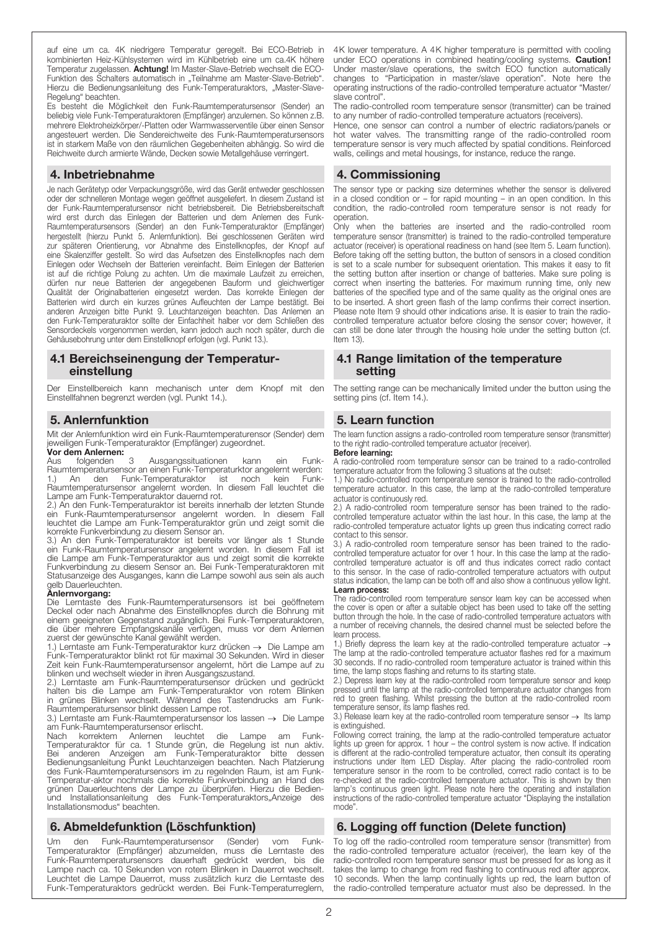auf eine um ca. 4K niedrigere Temperatur geregelt. Bei ECO-Betrieb in kombinierten Heiz-Kühlsystemen wird im Kühlbetrieb eine um ca.4K höhere Temperatur zugelassen. Achtung! Im Master-Slave-Betrieb wechselt die ECO-Funktion des Schalters automatisch in "Teilnahme am Master-Slave-Betrieb". Hierzu die Bedienungsanleitung des Funk-Temperaturaktors, "Master-Slave-Regelung" beachten.

Es besteht die Möglichkeit den Funk-Raumtemperatursensor (Sender) an beliebig viele Funk-Temperaturaktoren (Empfänger) anzulernen. So können z.B. mehrere Elektroheizkörper/-Platten oder Warmwasserventile über einen Sensor angesteuert werden. Die Sendereichweite des Funk-Raumtemperatursensors ist in starkem Maße von den räumlichen Gegebenheiten abhängig. So wird die Reichweite durch armierte Wände, Decken sowie Metallgehäuse verringert.

#### 4. Inbetriebnahme

Je nach Gerätetyp oder Verpackungsgröße, wird das Gerät entweder geschlossen oder der schnelleren Montage wegen geöffnet ausgeliefert. In diesem Zustand ist der Funk-Raumtemperatursensor nicht betriebsbereit. Die Betriebsbereitschaft wird erst durch das Einlegen der Batterien und dem Anlernen des Funk-Raumtemperatursensors (Sender) an den Funk-Temperaturaktor (Empfänger) hergestellt (hierzu Punkt 5. Anlernfunktion). Bei geschlossenen Geräten wird zur späteren Orientierung, vor Abnahme des Einstellknopfes, der Knopf auf eine Skalenziffer gestellt. So wird das Aufsetzen des Einstellknopfes nach dem Einlegen oder Wechseln der Batterien vereinfacht. Beim Einlegen der Batterien ist auf die richtige Polung zu achten. Um die maximale Laufzeit zu erreichen, dürfen nur neue Batterien der angegebenen Bauform und gleichwertiger Qualität der Originalbatterien eingesetzt werden. Das korrekte Einlegen der Batterien wird durch ein kurzes grünes Aufleuchten der Lampe bestätigt. Bei anderen Anzeigen bitte Punkt 9. Leuchtanzeigen beachten. Das Anlernen an den Funk-Temperaturaktor sollte der Einfachheit halber vor dem Schließen des Sensordeckels vorgenommen werden, kann jedoch auch noch später, durch die Gehäusebohrung unter dem Einstellknopf erfolgen (vgl. Punkt 13.).

#### 4.1 Bereichseinengung der Temperatureinstellung

Der Einstellbereich kann mechanisch unter dem Knopf mit den Einstellfahnen begrenzt werden (vgl. Punkt 14.).

# 5. Anlernfunktion

Mit der Anlernfunktion wird ein Funk-Raumtemperaturensor (Sender) dem jeweiligen Funk-Temperaturaktor (Empfänger) zugeordnet.

# Vor dem Anlernen:<br>Aus folgenden

3 Ausgangssituationen kann ein Funk-Raumtemperatursensor an einen Funk-Temperaturktor angelernt werden: 1.) An den Funk-Temperaturaktor ist noch kein Funk-Raumtemperatursensor angelernt worden. In diesem Fall leuchtet die Lampe am Funk-Temperaturaktor dauernd rot.

2.) An den Funk-Temperaturaktor ist bereits innerhalb der letzten Stunde ein Funk-Raumtemperatursensor angelernt worden. In diesem Fall leuchtet die Lampe am Funk-Temperaturaktor grün und zeigt somit die korrekte Funkverbindung zu diesem Sensor an.

3.) An den Funk-Temperaturaktor ist bereits vor länger als 1 Stunde ein Funk-Raumtemperatursensor angelernt worden. In diesem Fall ist die Lampe am Funk-Temperaturaktor aus und zeigt somit die korrekte Funkverbindung zu diesem Sensor an. Bei Funk-Temperaturaktoren mit Statusanzeige des Ausganges, kann die Lampe sowohl aus sein als auch gelb Dauerleuchten.

**Änlernvorgang:**<br>Die Lerntaste des Funk-Raumtemperatursensors ist bei geöffnetem Deckel oder nach Abnahme des Einstellknopfes durch die Bohrung mit einem geeigneten Gegenstand zugänglich. Bei Funk-Temperaturaktoren, die über mehrere Empfangskanäle verfügen, muss vor dem Anlernen zuerst der gewünschte Kanal gewählt werden.

1.) Lerntaste am Funk-Temperaturaktor kurz drücken → Die Lampe am Funk-Temperaturaktor blinkt rot für maximal 30 Sekunden. Wird in dieser Zeit kein Funk-Raumtemperatursensor angelernt, hört die Lampe auf zu blinken und wechselt wieder in ihren Ausgangszustand.

Lerntaste am Funk-Raumtemperatursensor drücken und gedrückt halten bis die Lampe am Funk-Temperaturaktor von rotem Blinken in grünes Blinken wechselt. Während des Tastendrucks am Funk-Raumtemperatursensor blinkt dessen Lampe rot.

3.) Lerntaste am Funk-Raumtemperatursensor los lassen → Die Lampe am Funk-Raumtemperatursensor erlischt.

Nach korrektem Anlernen leuchtet die Lampe am Funk-Temperaturaktor für ca. 1 Stunde grün, die Regelung ist nun aktiv. Bei anderen Anzeigen am Funk-Temperaturaktor bitte dessen Bedienungsanleitung Punkt Leuchtanzeigen beachten. Nach Platzierung des Funk-Raumtemperatursensors im zu regelnden Raum, ist am Funk-Temperatur-aktor nochmals die korrekte Funkverbindung an Hand des grünen Dauerleuchtens der Lampe zu überprüfen. Hierzu die Bedienund Installationsanleitung des Funk-Temperaturaktors"Anzeige des Installationsmodus" beachten.

# 6. Abmeldefunktion (Löschfunktion)

Um den Funk-Raumtemperatursensor (Sender) vom Funk-Temperaturaktor (Empfänger) abzumelden, muss die Lerntaste des Funk-Raumtemperatursensors dauerhaft gedrückt werden, bis die Lampe nach ca. 10 Sekunden von rotem Blinken in Dauerrot wechselt. Leuchtet die Lampe Dauerrot, muss zusätzlich kurz die Lerntaste des Funk-Temperaturaktors gedrückt werden. Bei Funk-Temperaturreglern,

4K lower temperature. A 4K higher temperature is permitted with cooling under ECO operations in combined heating/cooling systems. Caution! Under master/slave operations, the switch ECO function automatically changes to "Participation in master/slave operation". Note here the operating instructions of the radio-controlled temperature actuator "Master/ slave control".

The radio-controlled room temperature sensor (transmitter) can be trained to any number of radio-controlled temperature actuators (receivers).

Hence, one sensor can control a number of electric radiators/panels or hot water valves. The transmitting range of the radio-controlled room temperature sensor is very much affected by spatial conditions. Reinforced walls, ceilings and metal housings, for instance, reduce the range.

### 4. Commissioning

The sensor type or packing size determines whether the sensor is delivered in a closed condition or – for rapid mounting – in an open condition. In this condition, the radio-controlled room temperature sensor is not ready for operation.

Only when the batteries are inserted and the radio-controlled room temperature sensor (transmitter) is trained to the radio-controlled temperature actuator (receiver) is operational readiness on hand (see Item 5. Learn function). Before taking off the setting button, the button of sensors in a closed condition is set to a scale number for subsequent orientation. This makes it easy to fit the setting button after insertion or change of batteries. Make sure poling is correct when inserting the batteries. For maximum running time, only new batteries of the specified type and of the same quality as the original ones are to be inserted. A short green flash of the lamp confirms their correct insertion. Please note Item 9 should other indications arise. It is easier to train the radiocontrolled temperature actuator before closing the sensor cover; however, it can still be done later through the housing hole under the setting button (cf. Item 13).

#### 4.1 Range limitation of the temperature setting

The setting range can be mechanically limited under the button using the setting pins (cf. Item 14.).

# 5. Learn function

The learn function assigns a radio-controlled room temperature sensor (transmitter) to the right radio-controlled temperature actuator (receiver).

# Before learning:

A radio-controlled room temperature sensor can be trained to a radio-controlled temperature actuator from the following 3 situations at the outset:

1.) No radio-controlled room temperature sensor is trained to the radio-controlled temperature actuator. In this case, the lamp at the radio-controlled temperature actuator is continuously red.

2.) A radio-controlled room temperature sensor has been trained to the radiocontrolled temperature actuator within the last hour. In this case, the lamp at the radio-controlled temperature actuator lights up green thus indicating correct radio contact to this sensor.

3.) A radio-controlled room temperature sensor has been trained to the radiocontrolled temperature actuator for over 1 hour. In this case the lamp at the radiocontrolled temperature actuator is off and thus indicates correct radio contact to this sensor. In the case of radio-controlled temperature actuators with output status indication, the lamp can be both off and also show a continuous yellow light. Learn process:

The radio-controlled room temperature sensor learn key can be accessed when the cover is open or after a suitable object has been used to take off the setting button through the hole. In the case of radio-controlled temperature actuators with a number of receiving channels, the desired channel must be selected before the learn process.

1.) Briefly depress the learn key at the radio-controlled temperature actuator -The lamp at the radio-controlled temperature actuator flashes red for a maximum 30 seconds. If no radio-controlled room temperature actuator is trained within this time, the lamp stops flashing and returns to its starting state.

2.) Depress learn key at the radio-controlled room temperature sensor and keep pressed until the lamp at the radio-controlled temperature actuator changes from red to green flashing. Whilst pressing the button at the radio-controlled room temperature sensor, its lamp flashes red.

3.) Release learn key at the radio-controlled room temperature sensor  $\rightarrow$  Its lamp is extinguished.

Following correct training, the lamp at the radio-controlled temperature actuator lights up green for approx. 1 hour – the control system is now active. If indication is different at the radio-controlled temperature actuator, then consult its operating instructions under Item LED Display. After placing the radio-controlled room temperature sensor in the room to be controlled, correct radio contact is to be re-checked at the radio-controlled temperature actuator. This is shown by then lamp's continuous green light. Please note here the operating and installation instructions of the radio-controlled temperature actuator "Displaying the installation mode".

# 6. Logging off function (Delete function)

To log off the radio-controlled room temperature sensor (transmitter) from the radio-controlled temperature actuator (receiver), the learn key of the radio-controlled room temperature sensor must be pressed for as long as it takes the lamp to change from red flashing to continuous red after approx. 10 seconds. When the lamp continually lights up red, the learn button of the radio-controlled temperature actuator must also be depressed. In the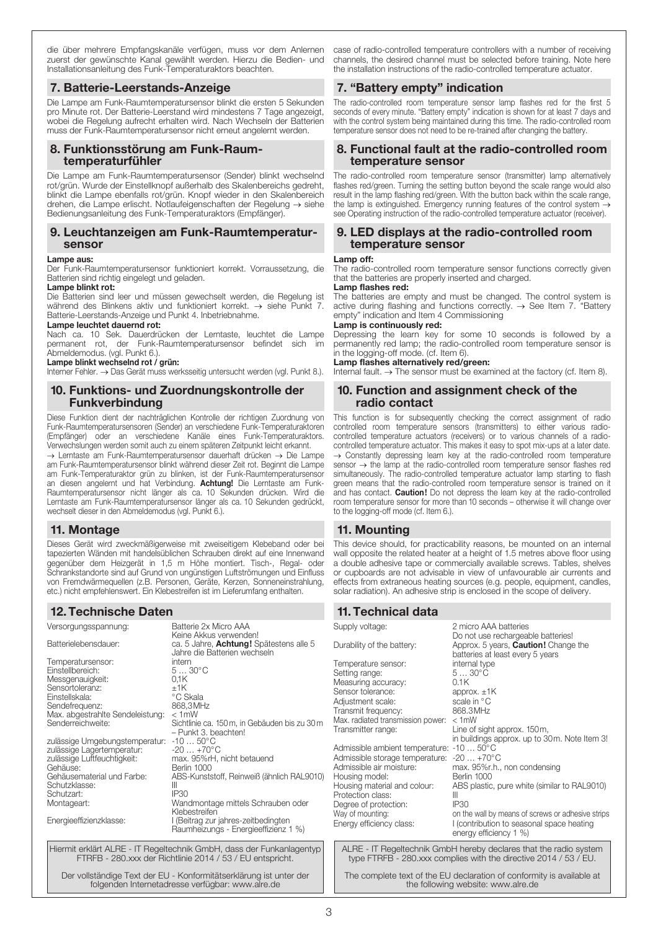die über mehrere Empfangskanäle verfügen, muss vor dem Anlernen zuerst der gewünschte Kanal gewählt werden. Hierzu die Bedien- und Installationsanleitung des Funk-Temperaturaktors beachten.

#### 7. Batterie-Leerstands-Anzeige

Die Lampe am Funk-Raumtemperatursensor blinkt die ersten 5 Sekunden pro Minute rot. Der Batterie-Leerstand wird mindestens 7 Tage angezeigt, wobei die Regelung aufrecht erhalten wird. Nach Wechseln der Batterien muss der Funk-Raumtemperatursensor nicht erneut angelernt werden.

#### 8. Funktionsstörung am Funk-Raumtemperaturfühler

Die Lampe am Funk-Raumtemperatursensor (Sender) blinkt wechselnd rot/grün. Wurde der Einstellknopf außerhalb des Skalenbereichs gedreht, blinkt die Lampe ebenfalls rot/grün. Knopf wieder in den Skalenbereich drehen, die Lampe erlischt. Notlaufeigenschaften der Regelung → siehe Bedienungsanleitung des Funk-Temperaturaktors (Empfänger).

#### 9. Leuchtanzeigen am Funk-Raumtemperatursensor

#### Lampe aus:

Der Funk-Raumtemperatursensor funktioniert korrekt. Vorraussetzung, die Batterien sind richtig eingelegt und geladen.

#### Lampe blinkt rot:

Die Batterien sind leer und müssen gewechselt werden, die Regelung ist während des Blinkens aktiv und funktioniert korrekt. → siehe Punkt 7. Batterie-Leerstands-Anzeige und Punkt 4. Inbetriebnahme.

#### Lampe leuchtet dauernd rot:

Nach ca. 10 Sek. Dauerdrücken der Lerntaste, leuchtet die Lampe permanent rot, der Funk-Raumtemperatursensor befindet sich im Abmeldemodus. (vgl. Punkt 6.).

#### Lampe blinkt wechselnd rot / grün:

Interner Fehler. → Das Gerät muss werksseitig untersucht werden (vgl. Punkt 8.).

#### 10. Funktions- und Zuordnungskontrolle der Funkverbindung

Diese Funktion dient der nachträglichen Kontrolle der richtigen Zuordnung von Funk-Raumtemperatursensoren (Sender) an verschiedene Funk-Temperaturaktoren (Empfänger) oder an verschiedene Kanäle eines Funk-Temperaturaktors. Verwechslungen werden somit auch zu einem späteren Zeitpunkt leicht erkannt.

→ Lerntaste am Funk-Raumtemperatursensor dauerhaft drücken → Die Lampe am Funk-Raumtemperatursensor blinkt während dieser Zeit rot. Beginnt die Lampe am Funk-Temperaturaktor grün zu blinken, ist der Funk-Raumtemperatursensor an diesen angelernt und hat Verbindung. Achtung! Die Lerntaste am Funk-Raumtemperatursensor nicht länger als ca. 10 Sekunden drücken. Wird die Lerntaste am Funk-Raumtemperatursensor länger als ca. 10 Sekunden gedrückt, wechselt dieser in den Abmeldemodus (vgl. Punkt 6.).

# 11. Montage

Dieses Gerät wird zweckmäßigerweise mit zweiseitigem Klebeband oder bei tapezierten Wänden mit handelsüblichen Schrauben direkt auf eine Innenwand gegenüber dem Heizgerät in 1,5 m Höhe montiert. Tisch-, Regal- oder Schrankstandorte sind auf Grund von ungünstigen Luftströmungen und Einfluss von Fremdwärmequellen (z.B. Personen, Geräte, Kerzen, Sonneneinstrahlung, etc.) nicht empfehlenswert. Ein Klebestreifen ist im Lieferumfang enthalten.

# 12. Technische Daten

| Versorgungsspannung:             | Batterie 2x Micro AAA                                                                                    |
|----------------------------------|----------------------------------------------------------------------------------------------------------|
| Batterielebensdauer:             | Keine Akkus verwenden!<br>ca. 5 Jahre, <b>Achtung!</b> Spätestens alle 5<br>Jahre die Batterien wechseln |
| Temperatursensor:                | intern                                                                                                   |
| Einstellbereich:                 | $530^{\circ}$ C                                                                                          |
| Messgenauigkeit:                 | 0.1K                                                                                                     |
| Sensortoleranz:                  | ±1K                                                                                                      |
| Einstellskala:                   | °C Skala                                                                                                 |
| Sendefrequenz:                   | 868.3MHz                                                                                                 |
| Max. abgestrahlte Sendeleistung: | $< 1$ mW                                                                                                 |
| Senderreichweite:                | Sichtlinie ca. 150 m, in Gebäuden bis zu 30 m<br>- Punkt 3, beachten!                                    |
| zulässige Umgebungstemperatur:   | $-1050^{\circ}$ C                                                                                        |
| zulässige Lagertemperatur:       | $-20+70^{\circ}$ C                                                                                       |
| zulässige Luftfeuchtigkeit:      | max. 95%rH, nicht betauend                                                                               |
| Gehäuse:                         | Berlin 1000                                                                                              |
| Gehäusematerial und Farbe:       | ABS-Kunststoff, Reinweiß (ähnlich RAL9010)                                                               |
| Schutzklasse:                    | Ш                                                                                                        |
| Schutzart:                       | IP30                                                                                                     |
| Montageart:                      | Wandmontage mittels Schrauben oder                                                                       |
|                                  | Klebestreifen                                                                                            |
| Energieeffizienzklasse:          | I (Beitrag zur jahres-zeitbedingten<br>Raumheizungs - Energieeffizienz 1 %)                              |
|                                  |                                                                                                          |

Hiermit erklärt ALRE - IT Regeltechnik GmbH, dass der Funkanlagentyp FTRFB - 280.xxx der Richtlinie 2014 / 53 / EU entspricht.

Der vollständige Text der EU - Konformitätserklärung ist unter der folgenden Internetadresse verfügbar: www.alre.de

case of radio-controlled temperature controllers with a number of receiving channels, the desired channel must be selected before training. Note here the installation instructions of the radio-controlled temperature actuator.

# 7. "Battery empty" indication

The radio-controlled room temperature sensor lamp flashes red for the first 5 seconds of every minute. "Battery empty" indication is shown for at least 7 days and with the control system being maintained during this time. The radio-controlled room temperature sensor does not need to be re-trained after changing the battery.

#### 8. Functional fault at the radio-controlled room temperature sensor

The radio-controlled room temperature sensor (transmitter) lamp alternatively flashes red/green. Turning the setting button beyond the scale range would also result in the lamp flashing red/green. With the button back within the scale range, the lamp is extinguished. Emergency running features of the control system  $\rightarrow$ see Operating instruction of the radio-controlled temperature actuator (receiver).

#### 9. LED displays at the radio-controlled room temperature sensor

#### Lamp off:

The radio-controlled room temperature sensor functions correctly given that the batteries are properly inserted and charged.

#### Lamp flashes red:

The batteries are empty and must be changed. The control system is active during flashing and functions correctly.  $\rightarrow$  See Item 7. "Battery empty" indication and Item 4 Commissioning

#### Lamp is continuously red:

Depressing the learn key for some 10 seconds is followed by a permanently red lamp; the radio-controlled room temperature sensor is in the logging-off mode. (cf. Item 6).

#### Lamp flashes alternatively red/green:

Internal fault.  $\rightarrow$  The sensor must be examined at the factory (cf. Item 8).

#### 10. Function and assignment check of the radio contact

This function is for subsequently checking the correct assignment of radio controlled room temperature sensors (transmitters) to either various radiocontrolled temperature actuators (receivers) or to various channels of a radiocontrolled temperature actuator. This makes it easy to spot mix-ups at a later date.  $\rightarrow$  Constantly depressing learn key at the radio-controlled room temperature sensor → the lamp at the radio-controlled room temperature sensor flashes red simultaneously. The radio-controlled temperature actuator lamp starting to flash green means that the radio-controlled room temperature sensor is trained on it and has contact. **Caution!** Do not depress the learn key at the radio-controlled room temperature sensor for more than 10 seconds – otherwise it will change over to the logging-off mode (cf. Item 6.).

# 11. Mounting

This device should, for practicability reasons, be mounted on an internal wall opposite the related heater at a height of 1.5 metres above floor using a double adhesive tape or commercially available screws. Tables, shelves or cupboards are not advisable in view of unfavourable air currents and effects from extraneous heating sources (e.g. people, equipment, candles, solar radiation). An adhesive strip is enclosed in the scope of delivery.

| 2 micro AAA batteries<br>Do not use rechargeable batteries!                                                                  |
|------------------------------------------------------------------------------------------------------------------------------|
| Approx. 5 years, <b>Caution!</b> Change the<br>batteries at least every 5 years                                              |
| internal type<br>$530^{\circ}$ C                                                                                             |
| 0.1K                                                                                                                         |
| approx. $±1K$<br>scale in °C                                                                                                 |
| 868.3 MHz                                                                                                                    |
| Max. radiated transmission power:<br>$< 1$ mW<br>Line of sight approx. 150m,<br>in buildings approx. up to 30m. Note Item 3! |
| Admissible ambient temperature: -10  50°C<br>Admissible storage temperature:<br>$-20+70^{\circ}C$                            |
| max. 95%r.h., non condensing<br><b>Berlin 1000</b>                                                                           |
| ABS plastic, pure white (similar to RAL9010)<br>Ш                                                                            |
| IP30<br>on the wall by means of screws or adhesive strips<br>I (contribution to seasonal space heating                       |
|                                                                                                                              |

The complete text of the EU declaration of conformity is available at the following website: www.alre.de

3